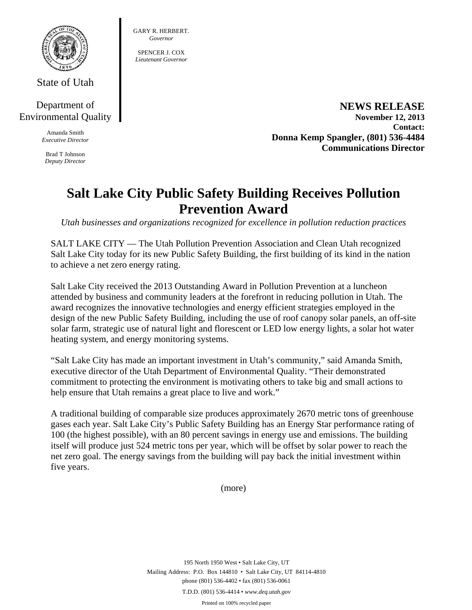

GARY R. HERBERT. *Governor*  SPENCER J. COX *Lieutenant Governor* 

State of Utah

## Department of Environmental Quality

Amanda Smith *Executive Director* 

Brad T Johnson *Deputy Director* 

**NEWS RELEASE November 12, 2013 Contact: Donna Kemp Spangler, (801) 536-4484 Communications Director** 

# **Salt Lake City Public Safety Building Receives Pollution Prevention Award**

*Utah businesses and organizations recognized for excellence in pollution reduction practices* 

SALT LAKE CITY — The Utah Pollution Prevention Association and Clean Utah recognized Salt Lake City today for its new Public Safety Building, the first building of its kind in the nation to achieve a net zero energy rating.

Salt Lake City received the 2013 Outstanding Award in Pollution Prevention at a luncheon attended by business and community leaders at the forefront in reducing pollution in Utah. The award recognizes the innovative technologies and energy efficient strategies employed in the design of the new Public Safety Building, including the use of roof canopy solar panels, an off-site solar farm, strategic use of natural light and florescent or LED low energy lights, a solar hot water heating system, and energy monitoring systems.

"Salt Lake City has made an important investment in Utah's community," said Amanda Smith, executive director of the Utah Department of Environmental Quality. "Their demonstrated commitment to protecting the environment is motivating others to take big and small actions to help ensure that Utah remains a great place to live and work."

A traditional building of comparable size produces approximately 2670 metric tons of greenhouse gases each year. Salt Lake City's Public Safety Building has an Energy Star performance rating of 100 (the highest possible), with an 80 percent savings in energy use and emissions. The building itself will produce just 524 metric tons per year, which will be offset by solar power to reach the net zero goal. The energy savings from the building will pay back the initial investment within five years.

(more)

195 North 1950 West • Salt Lake City, UT Mailing Address: P.O. Box 144810 • Salt Lake City, UT 84114-4810 phone (801) 536-4402 • fax (801) 536-0061 T.D.D. (801) 536-4414 • *www.deq.utah.gov* 

Printed on 100% recycled paper